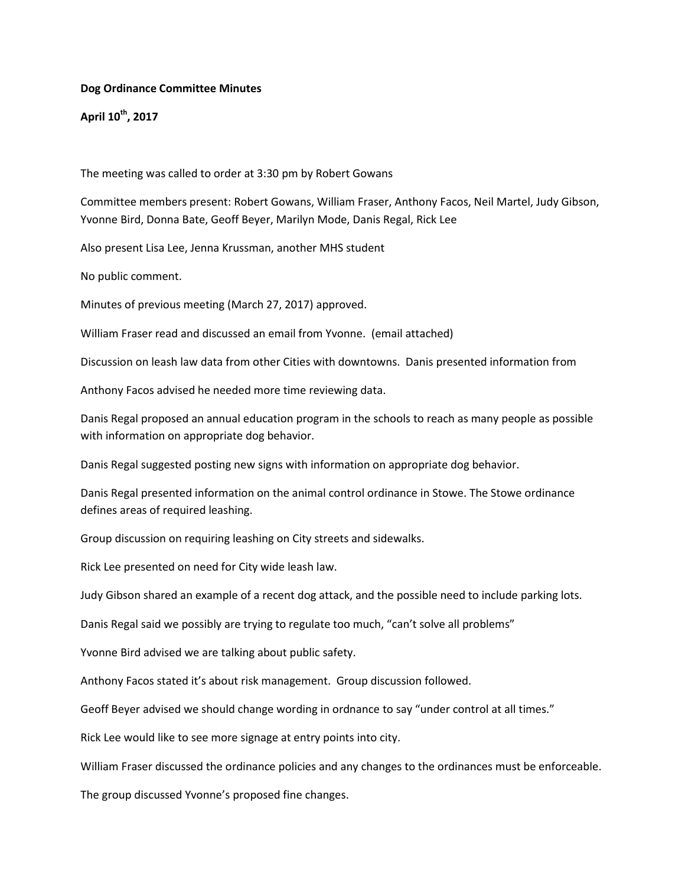## **Dog Ordinance Committee Minutes**

**April 10th, 2017**

The meeting was called to order at 3:30 pm by Robert Gowans

Committee members present: Robert Gowans, William Fraser, Anthony Facos, Neil Martel, Judy Gibson, Yvonne Bird, Donna Bate, Geoff Beyer, Marilyn Mode, Danis Regal, Rick Lee

Also present Lisa Lee, Jenna Krussman, another MHS student

No public comment.

Minutes of previous meeting (March 27, 2017) approved.

William Fraser read and discussed an email from Yvonne. (email attached)

Discussion on leash law data from other Cities with downtowns. Danis presented information from

Anthony Facos advised he needed more time reviewing data.

Danis Regal proposed an annual education program in the schools to reach as many people as possible with information on appropriate dog behavior.

Danis Regal suggested posting new signs with information on appropriate dog behavior.

Danis Regal presented information on the animal control ordinance in Stowe. The Stowe ordinance defines areas of required leashing.

Group discussion on requiring leashing on City streets and sidewalks.

Rick Lee presented on need for City wide leash law.

Judy Gibson shared an example of a recent dog attack, and the possible need to include parking lots.

Danis Regal said we possibly are trying to regulate too much, "can't solve all problems"

Yvonne Bird advised we are talking about public safety.

Anthony Facos stated it's about risk management. Group discussion followed.

Geoff Beyer advised we should change wording in ordnance to say "under control at all times."

Rick Lee would like to see more signage at entry points into city.

William Fraser discussed the ordinance policies and any changes to the ordinances must be enforceable.

The group discussed Yvonne's proposed fine changes.